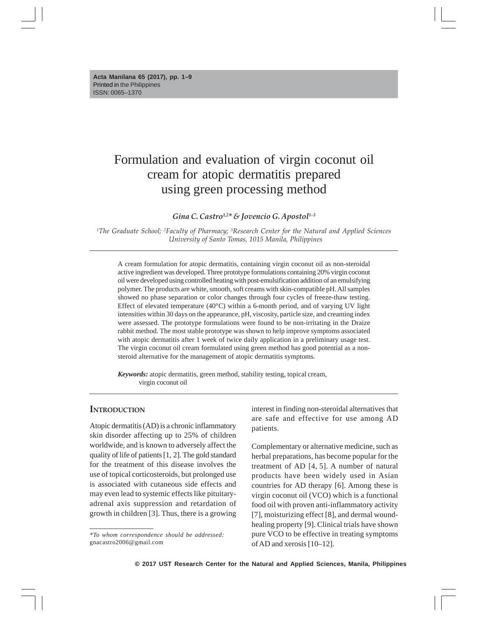# Formulation and evaluation of virgin coconut oil cream for atopic dermatitis prepared using green processing method

*Gina C. Castro1,2\* & Jovencio G. Apostol1–3*

*1The Graduate School; 2Faculty of Pharmacy; 3Research Center for the Natural and Applied Sciences University of Santo Tomas, 1015 Manila, Philippines*

A cream formulation for atopic dermatitis, containing virgin coconut oil as non-steroidal active ingredient was developed. Three prototype formulations containing 20% virgin coconut oil were developed using controlled heating with post-emulsification addition of an emulsifying polymer. The products are white, smooth, soft creams with skin-compatible pH. All samples showed no phase separation or color changes through four cycles of freeze-thaw testing. Effect of elevated temperature  $(40^{\circ}C)$  within a 6-month period, and of varying UV light intensities within 30 days on the appearance, pH, viscosity, particle size, and creaming index were assessed. The prototype formulations were found to be non-irritating in the Draize rabbit method. The most stable prototype was shown to help improve symptoms associated with atopic dermatitis after 1 week of twice daily application in a preliminary usage test. The virgin coconut oil cream formulated using green method has good potential as a nonsteroid alternative for the management of atopic dermatitis symptoms.

*Keywords:* atopic dermatitis, green method, stability testing, topical cream, virgin coconut oil

#### **INTRODUCTION**

Atopic dermatitis (AD) is a chronic inflammatory skin disorder affecting up to 25% of children worldwide, and is known to adversely affect the quality of life of patients [1, 2]. The gold standard for the treatment of this disease involves the use of topical corticosteroids, but prolonged use is associated with cutaneous side effects and may even lead to systemic effects like pituitaryadrenal axis suppression and retardation of growth in children [3]. Thus, there is a growing interest in finding non-steroidal alternatives that are safe and effective for use among AD patients.

Complementary or alternative medicine, such as herbal preparations, has become popular for the treatment of AD [4, 5]. A number of natural products have been widely used in Asian countries for AD therapy [6]. Among these is virgin coconut oil (VCO) which is a functional food oil with proven anti-inflammatory activity [7], moisturizing effect [8], and dermal woundhealing property [9]. Clinical trials have shown pure VCO to be effective in treating symptoms of AD and xerosis [10–12].

*<sup>\*</sup>To whom correspondence should be addressed:* gnacastro2006@gmail.com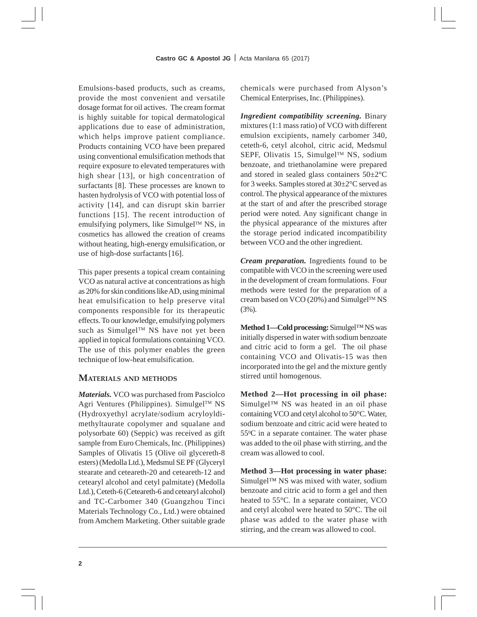Emulsions-based products, such as creams, provide the most convenient and versatile dosage format for oil actives. The cream format is highly suitable for topical dermatological applications due to ease of administration, which helps improve patient compliance. Products containing VCO have been prepared using conventional emulsification methods that require exposure to elevated temperatures with high shear [13], or high concentration of surfactants [8]. These processes are known to hasten hydrolysis of VCO with potential loss of activity [14], and can disrupt skin barrier functions [15]. The recent introduction of emulsifying polymers, like Simulgel<sup>TM</sup> NS, in cosmetics has allowed the creation of creams without heating, high-energy emulsification, or use of high-dose surfactants[16].

This paper presents a topical cream containing VCO as natural active at concentrations as high as 20% for skin conditions like AD, using minimal heat emulsification to help preserve vital components responsible for its therapeutic effects. To our knowledge, emulsifying polymers such as Simulgel<sup>™</sup> NS have not yet been applied in topical formulations containing VCO. The use of this polymer enables the green technique of low-heat emulsification.

# **MATERIALS AND METHODS**

*Materials.* VCO was purchased from Pasciolco Agri Ventures (Philippines). Simulgel™ NS (Hydroxyethyl acrylate/sodium acryloyldimethyltaurate copolymer and squalane and polysorbate 60) (Seppic) was received as gift sample from Euro Chemicals, Inc. (Philippines) Samples of Olivatis 15 (Olive oil glycereth-8 esters) (Medolla Ltd.), Medsmul SE PF (Glyceryl stearate and ceteareth-20 and ceteareth-12 and cetearyl alcohol and cetyl palmitate) (Medolla Ltd.), Ceteth-6 (Ceteareth-6 and cetearyl alcohol) and TC-Carbomer 340 (Guangzhou Tinci Materials Technology Co., Ltd.) were obtained from Amchem Marketing. Other suitable grade chemicals were purchased from Alyson's Chemical Enterprises, Inc. (Philippines).

*Ingredient compatibility screening.* Binary mixtures (1:1 mass ratio) of VCO with different emulsion excipients, namely carbomer 340, ceteth-6, cetyl alcohol, citric acid, Medsmul SEPF, Olivatis 15, Simulgel™ NS, sodium benzoate, and triethanolamine were prepared and stored in sealed glass containers 50±2°C for 3 weeks. Samples stored at 30±2°C served as control. The physical appearance of the mixtures at the start of and after the prescribed storage period were noted. Any significant change in the physical appearance of the mixtures after the storage period indicated incompatibility between VCO and the other ingredient.

*Cream preparation.* Ingredients found to be compatible with VCO in the screening were used in the development of cream formulations. Four methods were tested for the preparation of a cream based on VCO (20%) and Simulgel™ NS (3%).

**Method 1—Cold processing:** Simulgel™ NS was initially dispersed in water with sodium benzoate and citric acid to form a gel. The oil phase containing VCO and Olivatis-15 was then incorporated into the gel and the mixture gently stirred until homogenous.

**Method 2—Hot processing in oil phase:** Simulgel™ NS was heated in an oil phase containing VCO and cetyl alcohol to 50°C. Water, sodium benzoate and citric acid were heated to 550 C in a separate container. The water phase was added to the oil phase with stirring, and the cream was allowed to cool.

**Method 3—Hot processing in water phase:** Simulgel™ NS was mixed with water, sodium benzoate and citric acid to form a gel and then heated to 55°C. In a separate container, VCO and cetyl alcohol were heated to 50°C. The oil phase was added to the water phase with stirring, and the cream was allowed to cool.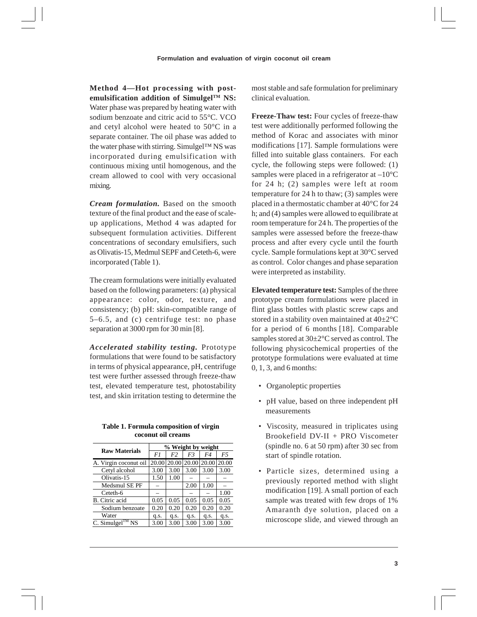**Method 4—Hot processing with postemulsification addition of SimulgelTM NS:** Water phase was prepared by heating water with sodium benzoate and citric acid to 55°C. VCO and cetyl alcohol were heated to 50°C in a separate container. The oil phase was added to the water phase with stirring. Simulgel™ NS was incorporated during emulsification with continuous mixing until homogenous, and the cream allowed to cool with very occasional mixing.

*Cream formulation.* Based on the smooth texture of the final product and the ease of scaleup applications, Method 4 was adapted for subsequent formulation activities. Different concentrations of secondary emulsifiers, such as Olivatis-15, Medmul SEPF and Ceteth-6, were incorporated (Table 1).

The cream formulations were initially evaluated based on the following parameters: (a) physical appearance: color, odor, texture, and consistency; (b) pH: skin-compatible range of 5–6.5, and (c) centrifuge test: no phase separation at 3000 rpm for 30 min [8].

*Accelerated stability testing.* Prototype formulations that were found to be satisfactory in terms of physical appearance, pH, centrifuge test were further assessed through freeze-thaw test, elevated temperature test, photostability test, and skin irritation testing to determine the

**Table 1. Formula composition of virgin coconut oil creams** 

| <b>Raw Materials</b>            | % Weight by weight |                |       |       |       |  |  |
|---------------------------------|--------------------|----------------|-------|-------|-------|--|--|
|                                 | F1                 | F <sub>2</sub> | F3    | F4    | F5    |  |  |
| A. Virgin coconut oil           | 20.00              | 20.00          | 20.00 | 20.00 | 20.00 |  |  |
| Cetyl alcohol                   | 3.00               | 3.00           | 3.00  | 3.00  | 3.00  |  |  |
| Olivatis-15                     | 1.50               | 1.00           |       |       |       |  |  |
| Medsmul SE PF                   |                    |                | 2.00  | 1.00  |       |  |  |
| Ceteth-6                        |                    |                |       |       | 1.00  |  |  |
| B. Citric acid                  | 0.05               | 0.05           | 0.05  | 0.05  | 0.05  |  |  |
| Sodium benzoate                 | 0.20               | 0.20           | 0.20  | 0.20  | 0.20  |  |  |
| Water                           | q.s.               | q.s.           | q.s.  | q.s.  | q.s.  |  |  |
| C. Simulgel <sup>TM</sup><br>NS | 3.00               | 3.00           | 3.00  | 3.00  | 3.00  |  |  |

most stable and safe formulation for preliminary clinical evaluation.

**Freeze-Thaw test:** Four cycles of freeze-thaw test were additionally performed following the method of Korac and associates with minor modifications [17]. Sample formulations were filled into suitable glass containers. For each cycle, the following steps were followed: (1) samples were placed in a refrigerator at  $-10^{\circ}$ C for 24 h; (2) samples were left at room temperature for 24 h to thaw; (3) samples were placed in a thermostatic chamber at 40°C for 24 h; and (4) samples were allowed to equilibrate at room temperature for 24 h. The properties of the samples were assessed before the freeze-thaw process and after every cycle until the fourth cycle. Sample formulations kept at 30°C served as control. Color changes and phase separation were interpreted as instability.

**Elevated temperature test:** Samples of the three prototype cream formulations were placed in flint glass bottles with plastic screw caps and stored in a stability oven maintained at 40±2°C for a period of 6 months [18]. Comparable samples stored at 30±2°C served as control. The following physicochemical properties of the prototype formulations were evaluated at time 0, 1, 3, and 6 months:

- Organoleptic properties
- pH value, based on three independent pH measurements
- Viscosity, measured in triplicates using Brookefield DV-II + PRO Viscometer (spindle no. 6 at 50 rpm) after 30 sec from start of spindle rotation.
- Particle sizes, determined using a previously reported method with slight modification [19]. A small portion of each sample was treated with few drops of 1% Amaranth dye solution, placed on a microscope slide, and viewed through an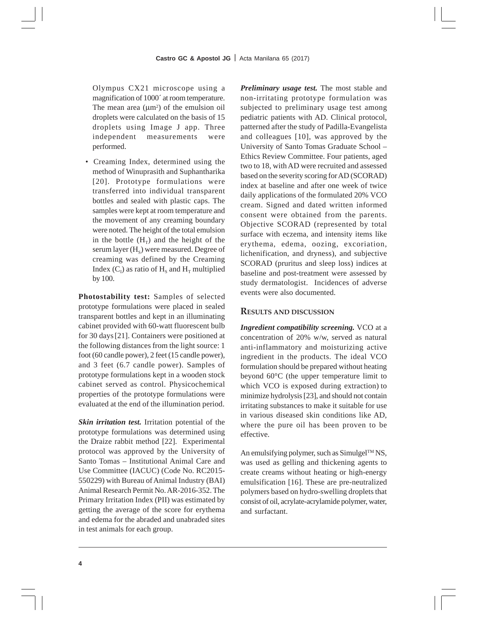Olympus CX21 microscope using a magnification of 1000´ at room temperature. The mean area  $(\mu m^2)$  of the emulsion oil droplets were calculated on the basis of 15 droplets using Image J app. Three independent measurements were performed.

• Creaming Index, determined using the method of Winuprasith and Suphantharika [20]. Prototype formulations were transferred into individual transparent bottles and sealed with plastic caps. The samples were kept at room temperature and the movement of any creaming boundary were noted. The height of the total emulsion in the bottle  $(H_T)$  and the height of the serum layer  $(H_s)$  were measured. Degree of creaming was defined by the Creaming Index  $(C_1)$  as ratio of  $H_s$  and  $H_T$  multiplied by 100.

**Photostability test:** Samples of selected prototype formulations were placed in sealed transparent bottles and kept in an illuminating cabinet provided with 60-watt fluorescent bulb for 30 days[21]. Containers were positioned at the following distances from the light source: 1 foot (60 candle power), 2 feet (15 candle power), and 3 feet (6.7 candle power). Samples of prototype formulations kept in a wooden stock cabinet served as control. Physicochemical properties of the prototype formulations were evaluated at the end of the illumination period.

*Skin irritation test.* Irritation potential of the prototype formulations was determined using the Draize rabbit method [22]. Experimental protocol was approved by the University of Santo Tomas – Institutional Animal Care and Use Committee (IACUC) (Code No. RC2015- 550229) with Bureau of Animal Industry (BAI) Animal Research Permit No. AR-2016-352. The Primary Irritation Index (PII) was estimated by getting the average of the score for erythema and edema for the abraded and unabraded sites in test animals for each group.

*Preliminary usage test.* The most stable and non-irritating prototype formulation was subjected to preliminary usage test among pediatric patients with AD. Clinical protocol, patterned after the study of Padilla-Evangelista and colleagues [10], was approved by the University of Santo Tomas Graduate School – Ethics Review Committee. Four patients, aged two to 18, with AD were recruited and assessed based on the severity scoring for AD (SCORAD) index at baseline and after one week of twice daily applications of the formulated 20% VCO cream. Signed and dated written informed consent were obtained from the parents. Objective SCORAD (represented by total surface with eczema, and intensity items like erythema, edema, oozing, excoriation, lichenification, and dryness), and subjective SCORAD (pruritus and sleep loss) indices at baseline and post-treatment were assessed by study dermatologist. Incidences of adverse events were also documented.

# **RESULTS AND DISCUSSION**

*Ingredient compatibility screening.* VCO at a concentration of 20% w/w, served as natural anti-inflammatory and moisturizing active ingredient in the products. The ideal VCO formulation should be prepared without heating beyond 60°C (the upper temperature limit to which VCO is exposed during extraction) to minimize hydrolysis [23], and should not contain irritating substances to make it suitable for use in various diseased skin conditions like AD, where the pure oil has been proven to be effective.

An emulsifying polymer, such as  $Simulgel^{TM} NS$ , was used as gelling and thickening agents to create creams without heating or high-energy emulsification [16]. These are pre-neutralized polymers based on hydro-swelling droplets that consist of oil, acrylate-acrylamide polymer, water, and surfactant.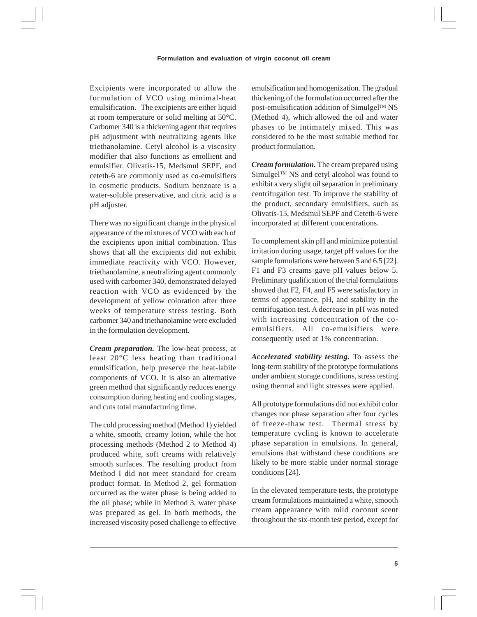Excipients were incorporated to allow the formulation of VCO using minimal-heat emulsification. The excipients are either liquid at room temperature or solid melting at 50°C. Carbomer 340 is a thickening agent that requires pH adjustment with neutralizing agents like triethanolamine. Cetyl alcohol is a viscosity modifier that also functions as emollient and emulsifier. Olivatis-15, Medsmul SEPF, and ceteth-6 are commonly used as co-emulsifiers in cosmetic products. Sodium benzoate is a water-soluble preservative, and citric acid is a pH adjuster.

There was no significant change in the physical appearance of the mixtures of VCO with each of the excipients upon initial combination. This shows that all the excipients did not exhibit immediate reactivity with VCO. However, triethanolamine, a neutralizing agent commonly used with carbomer 340, demonstrated delayed reaction with VCO as evidenced by the development of yellow coloration after three weeks of temperature stress testing. Both carbomer 340 and triethanolamine were excluded in the formulation development.

*Cream preparation.* The low-heat process, at least 20°C less heating than traditional emulsification, help preserve the heat-labile components of VCO. It is also an alternative green method that significantly reduces energy consumption during heating and cooling stages, and cuts total manufacturing time.

The cold processing method (Method 1) yielded a white, smooth, creamy lotion, while the hot processing methods (Method 2 to Method 4) produced white, soft creams with relatively smooth surfaces. The resulting product from Method I did not meet standard for cream product format. In Method 2, gel formation occurred as the water phase is being added to the oil phase; while in Method 3, water phase was prepared as gel. In both methods, the increased viscosity posed challenge to effective emulsification and homogenization. The gradual thickening of the formulation occurred after the post-emulsification addition of Simulgel™ NS (Method 4), which allowed the oil and water phases to be intimately mixed. This was considered to be the most suitable method for product formulation.

*Cream formulation.* The cream prepared using Simulgel<sup>™</sup> NS and cetyl alcohol was found to exhibit a very slight oil separation in preliminary centrifugation test. To improve the stability of the product, secondary emulsifiers, such as Olivatis-15, Medsmul SEPF and Ceteth-6 were incorporated at different concentrations.

To complement skin pH and minimize potential irritation during usage, target pH values for the sample formulations were between 5 and 6.5 [22]. F1 and F3 creams gave pH values below 5. Preliminary qualification of the trial formulations showed that F2, F4, and F5 were satisfactory in terms of appearance, pH, and stability in the centrifugation test. A decrease in pH was noted with increasing concentration of the coemulsifiers. All co-emulsifiers were consequently used at 1% concentration.

*Accelerated stability testing.* To assess the long-term stability of the prototype formulations under ambient storage conditions, stress testing using thermal and light stresses were applied.

All prototype formulations did not exhibit color changes nor phase separation after four cycles of freeze-thaw test. Thermal stress by temperature cycling is known to accelerate phase separation in emulsions. In general, emulsions that withstand these conditions are likely to be more stable under normal storage conditions [24].

In the elevated temperature tests, the prototype cream formulations maintained a white, smooth cream appearance with mild coconut scent throughout the six-month test period, except for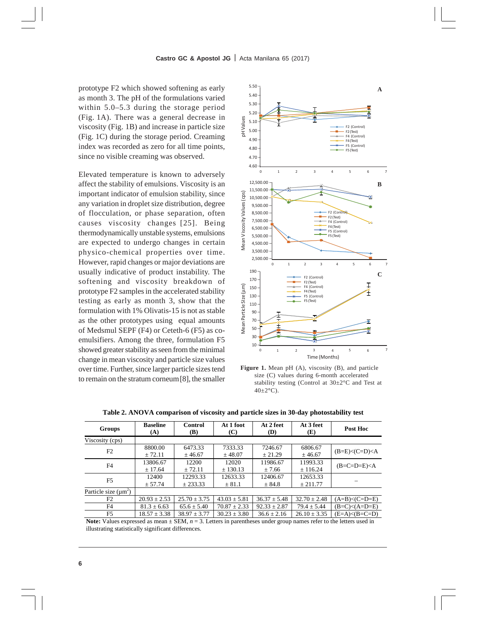prototype F2 which showed softening as early as month 3. The pH of the formulations varied within 5.0–5.3 during the storage period (Fig. 1A). There was a general decrease in viscosity (Fig. 1B) and increase in particle size (Fig. 1C) during the storage period. Creaming index was recorded as zero for all time points, since no visible creaming was observed.

Elevated temperature is known to adversely affect the stability of emulsions. Viscosity is an important indicator of emulsion stability, since any variation in droplet size distribution, degree of flocculation, or phase separation, often causes viscosity changes [25]. Being thermodynamically unstable systems, emulsions are expected to undergo changes in certain physico-chemical properties over time. However, rapid changes or major deviations are usually indicative of product instability. The softening and viscosity breakdown of prototype F2 samples in the accelerated stability testing as early as month 3, show that the formulation with 1% Olivatis-15 is not as stable as the other prototypes using equal amounts of Medsmul SEPF (F4) or Ceteth-6 (F5) as coemulsifiers. Among the three, formulation F5 showed greater stability as seen from the minimal change in mean viscosity and particle size values over time. Further, since larger particle sizes tend to remain on the stratum corneum[8], the smaller



**Figure 1.** Mean pH (A), viscosity (B), and particle size (C) values during 6-month accelerated stability testing (Control at 30±2°C and Test at 40±2**°**C).

| Groups                    | <b>Baseline</b><br>(A) | Control<br>(B)       | At 1 foot<br>(C)       | At 2 feet<br>(D)    | At 3 feet<br>(E)     | Post Hoc            |
|---------------------------|------------------------|----------------------|------------------------|---------------------|----------------------|---------------------|
| Viscosity (cps)           |                        |                      |                        |                     |                      |                     |
| F2                        | 8800.00<br>± 72.11     | 6473.33<br>± 46.67   | 7333.33<br>± 48.07     | 7246.67<br>$+21.29$ | 6806.67<br>± 46.67   | $(B=E) < (C=D) < A$ |
| F <sub>4</sub>            | 13806.67<br>± 17.64    | 12200<br>$+72.11$    | 12020<br>± 130.13      | 11986.67<br>± 7.66  | 11993.33<br>± 116.24 | $(B=C=D=E)$         |
| F <sub>5</sub>            | 12400<br>± 57.74       | 12293.33<br>± 233.33 | 12633.33<br>$\pm 81.1$ | 12406.67<br>± 84.8  | 12653.33<br>± 211.77 |                     |
| Particle size $(\mu m^2)$ |                        |                      |                        |                     |                      |                     |
| F2                        | $20.93 \pm 2.53$       | $25.70 \pm 3.75$     | $43.03 \pm 5.81$       | $36.37 \pm 5.48$    | $32.70 \pm 2.48$     | $(A=B) < (C=D=E)$   |
| F4                        | $81.3 \pm 6.63$        | $65.6 \pm 5.40$      | $70.87 \pm 2.33$       | $92.33 \pm 2.87$    | $79.4 \pm 5.44$      | $(B=C) < (A=D=E)$   |
| F5                        | $18.57 \pm 3.38$       | $38.97 \pm 3.77$     | $30.23 \pm 3.80$       | $36.6 \pm 2.16$     | $26.10 \pm 3.35$     | $(E=A)\leq(B=C=D)$  |

**Table 2. ANOVA comparison of viscosity and particle sizes in 30-day photostability test** 

**Note:** Values expressed as mean  $\pm$  SEM,  $n = 3$ . Letters in parentheses under group names refer to the letters used in illustrating statistically significant differences.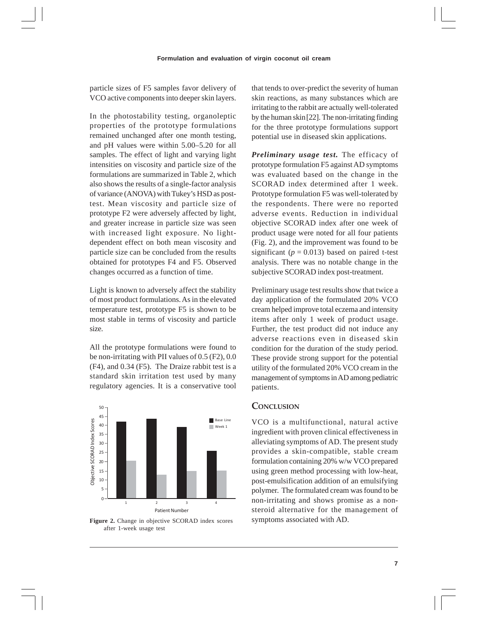particle sizes of F5 samples favor delivery of VCO active components into deeper skin layers.

In the photostability testing, organoleptic properties of the prototype formulations remained unchanged after one month testing, and pH values were within 5.00–5.20 for all samples. The effect of light and varying light intensities on viscosity and particle size of the formulations are summarized in Table 2, which also shows the results of a single-factor analysis of variance (ANOVA) with Tukey's HSD as posttest. Mean viscosity and particle size of prototype F2 were adversely affected by light, and greater increase in particle size was seen with increased light exposure. No lightdependent effect on both mean viscosity and particle size can be concluded from the results obtained for prototypes F4 and F5. Observed changes occurred as a function of time.

Light is known to adversely affect the stability of most product formulations. As in the elevated temperature test, prototype F5 is shown to be most stable in terms of viscosity and particle size.

All the prototype formulations were found to be non-irritating with PII values of 0.5 (F2), 0.0 (F4), and 0.34 (F5). The Draize rabbit test is a standard skin irritation test used by many regulatory agencies. It is a conservative tool



Figure 2. Change in objective SCORAD index scores symptoms associated with AD. after 1-week usage test

that tends to over-predict the severity of human skin reactions, as many substances which are irritating to the rabbit are actually well-tolerated by the human skin[22]. The non-irritating finding for the three prototype formulations support potential use in diseased skin applications.

*Preliminary usage test.* The efficacy of prototype formulation F5 against AD symptoms was evaluated based on the change in the SCORAD index determined after 1 week. Prototype formulation F5 was well-tolerated by the respondents. There were no reported adverse events. Reduction in individual objective SCORAD index after one week of product usage were noted for all four patients (Fig. 2), and the improvement was found to be significant ( $p = 0.013$ ) based on paired t-test analysis. There was no notable change in the subjective SCORAD index post-treatment.

Preliminary usage test results show that twice a day application of the formulated 20% VCO cream helped improve total eczema and intensity items after only 1 week of product usage. Further, the test product did not induce any adverse reactions even in diseased skin condition for the duration of the study period. These provide strong support for the potential utility of the formulated 20% VCO cream in the management of symptoms in AD among pediatric patients.

# **CONCLUSION**

VCO is a multifunctional, natural active ingredient with proven clinical effectiveness in alleviating symptoms of AD. The present study provides a skin-compatible, stable cream formulation containing 20% w/w VCO prepared using green method processing with low-heat, post-emulsification addition of an emulsifying polymer. The formulated cream was found to be non-irritating and shows promise as a nonsteroid alternative for the management of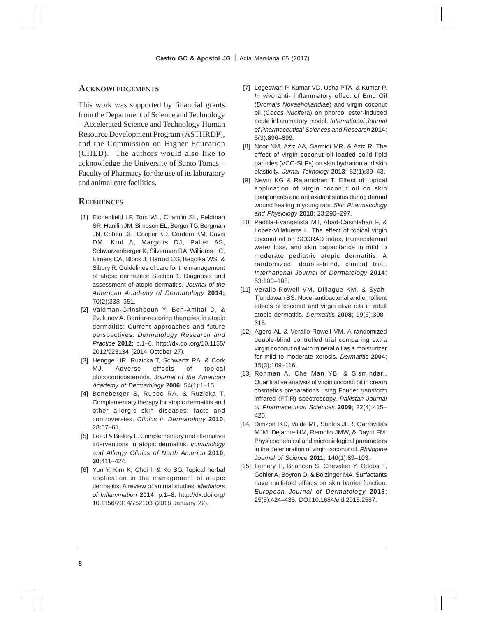#### **ACKNOWLEDGEMENTS**

This work was supported by financial grants from the Department of Science and Technology – Accelerated Science and Technology Human Resource Development Program (ASTHRDP), and the Commission on Higher Education (CHED). The authors would also like to acknowledge the University of Santo Tomas – Faculty of Pharmacy for the use of its laboratory and animal care facilities.

#### **REFERENCES**

- [1] Eichenfield LF, Tom WL, Chamlin SL, Feldman SR, Hanifin JM, Simpson EL, Berger TG, Bergman JN, Cohen DE, Cooper KD, Cordoro KM, Davis DM, Krol A, Margolis DJ, Paller AS, Schwarzenberger K, Silverman RA, Williams HC, Elmers CA, Block J, Harrod CG, Begolka WS, & Sibury R. Guidelines of care for the management of atopic dermatitis: Section 1. Diagnosis and assessment of atopic dermatitis. *Journal of the American Academy of Dermatology* **2014;** 70(2):338–351.
- [2] Valdman-Grinshpoun Y, Ben-Amitai D, & Zvulunov A. Barrier-restoring therapies in atopic dermatitis: Current approaches and future perspectives. *Dermatology Research and Practice* **2012**; p.1–6. http://dx.doi.org/10.1155/ 2012/923134 (2014 October 27).
- [3] Hengge UR, Ruzicka T, Schwartz RA, & Cork MJ. Adverse effects of topical glucocorticosteroids. *Journal of the American Academy of Dermatology* **2006**; 54(1):1–15.
- [4] Boneberger S, Rupec RA, & Ruzicka T. Complementary therapy for atopic dermatitis and other allergic skin diseases: facts and controversies. *Clinics in Dermatology* **2010**; 28:57–61.
- [5] Lee J & Bielory L. Complementary and alternative interventions in atopic dermatitis. *Immunology and Allergy Clinics of North America* **2010**; **30**:411–424.
- [6] Yun Y, Kim K, Choi I, & Ko SG. Topical herbal application in the management of atopic dermatitis: A review of animal studies. *Mediators of Inflammation* **2014**; p.1–8. http://dx.doi.org/ 10.1156/2014/752103 (2018 January 22).
- [7] Logeswari P, Kumar VD, Usha PTA, & Kumar P. *In vivo* anti- inflammatory effect of Emu Oil (*Dromais Novaehollandiae*) and virgin coconut oil (*Cocos Nucif*era) on phorbol ester-induced acute inflammatory model. *International Journal of Pharmaceutical Sciences and Research* **2014**; 5(3):896–899.
- [8] Noor NM, Aziz AA, Sarmidi MR, & Aziz R. The effect of virgin coconut oil loaded solid lipid particles (VCO-SLPs) on skin hydration and skin elasticity. *Jurnal Teknologi* **2013**; 62(1)**:**39–43.
- [9] Nevin KG & Rajamohan T. Effect of topical application of virgin coconut oil on skin components and antioxidant status during dermal wound healing in young rats. *Skin Pharmacology and Physiology* **2010**; 23:290–297.
- [10] Padilla-Evangelista MT, Abad-Casintahan F, & Lopez-Villafuerte L. The effect of topical virgin coconut oil on SCORAD index, transepidermal water loss, and skin capacitance in mild to moderate pediatric atopic dermatitis: A randomized, double-blind, clinical trial. *International Journal of Dermatology* **2014**; 53:100–108.
- [11] Verallo-Rowell VM, Dillague KM, & Syah-Tjundawan BS. Novel antibacterial and emollient effects of coconut and virgin olive oils in adult atopic dermatitis. *Dermatitis* **2008**; 19(6):308– 315.
- [12] Agero AL & Verallo-Rowell VM. A randomized double-blind controlled trial comparing extra virgin coconut oil with mineral oil as a moisturizer for mild to moderate xerosis. *Dermatitis* **2004**; 15(3):109–116.
- [13] Rohman A, Che Man YB, & Sismindari. Quantitative analysis of virgin coconut oil in cream cosmetics preparations using Fourier transform infrared (FTIR) spectroscopy. *Pakistan Journal of Pharmaceutical Sciences* **2009**; 22(4):415– 420.
- [14] Dimzon IKD, Valde MF, Santos JER, Garrovillas MJM, Dejarme HM, Remollo JMW, & Dayrit FM. Physicochemical and microbiological parameters in the deterioration of virgin coconut oil. *Philippine Journal of Science* **2011**; 140(1):89–103.
- [15] Lemery E, Briancon S, Chevalier Y, Oddos T, Gohier A, Boyron O, & Bolzinger MA. Surfactants have multi-fold effects on skin barrier function. *European Journal of Dermatology* **2015**; 25(5):424–435. DOI:10.1684/ejd.2015.2587.